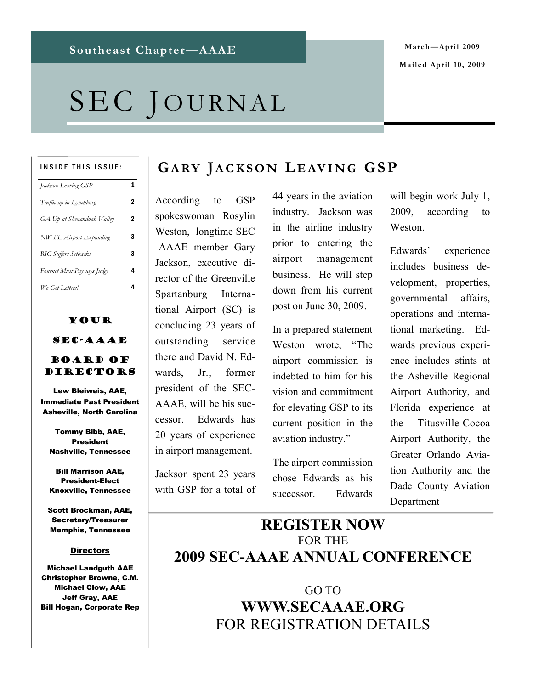# SEC JOURNAL

#### INSIDE THIS ISSUE:

| Jackson Leaving GSP         | 1 |
|-----------------------------|---|
| Traffic up in Lynchburg     | 2 |
| GA Up at Shenandoah Valley  | 2 |
| NW FL Airport Expanding     | 3 |
| <b>RIC Suffers Setbacks</b> | з |
| Fournet Must Pay says Judge | 4 |
| We Get Letters!             | 4 |

# Your SEC-AAAE

#### Board of Directors

Lew Bleiweis, AAE, Immediate Past President Asheville, North Carolina

Tommy Bibb, AAE, President Nashville, Tennessee

Bill Marrison AAE, President-Elect Knoxville, Tennessee

Scott Brockman, AAE, Secretary/Treasurer Memphis, Tennessee

#### **Directors**

Michael Landguth AAE Christopher Browne, C.M. Michael Clow, AAE Jeff Gray, AAE Bill Hogan, Corporate Rep

## **GA RY JA C K S O N L E AV I N G GS P**

According to GSP spokeswoman Rosylin Weston, longtime SEC -AAAE member Gary Jackson, executive director of the Greenville Spartanburg International Airport (SC) is concluding 23 years of outstanding service there and David N. Edwards, Jr., former president of the SEC-AAAE, will be his successor. Edwards has 20 years of experience in airport management.

Jackson spent 23 years with GSP for a total of 44 years in the aviation industry. Jackson was in the airline industry prior to entering the airport management business. He will step down from his current post on June 30, 2009.

In a prepared statement Weston wrote, "The airport commission is indebted to him for his vision and commitment for elevating GSP to its current position in the aviation industry."

The airport commission chose Edwards as his successor. Edwards

will begin work July 1, 2009, according to Weston.

Edwards' experience includes business development, properties, governmental affairs, operations and international marketing. Edwards previous experience includes stints at the Asheville Regional Airport Authority, and Florida experience at the Titusville-Cocoa Airport Authority, the Greater Orlando Aviation Authority and the Dade County Aviation Department

## **REGISTER NOW**  FOR THE **2009 SEC-AAAE ANNUAL CONFERENCE**

GO TO **WWW.SECAAAE.ORG** FOR REGISTRATION DETAILS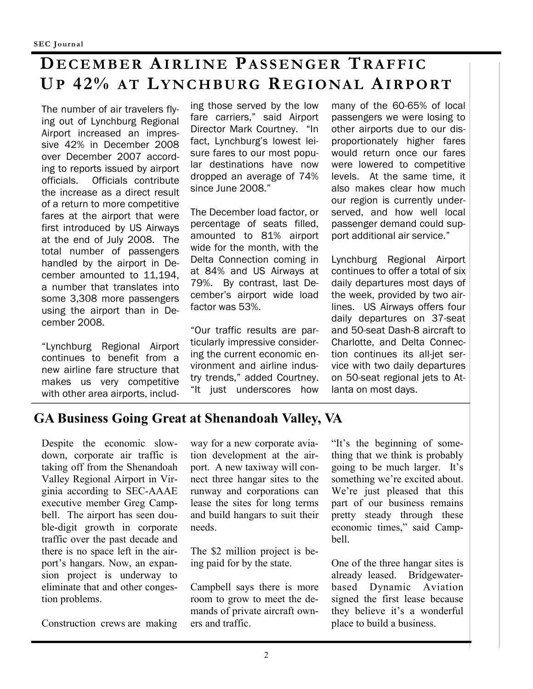# **DE C E M B E R AI R L I N E PA S S E N G E R TR A F F I C UP 42% A T LY N C H BU RG RE G I O NA L AI R P O RT**

The number of air travelers flying out of Lynchburg Regional Airport increased an impressive 42% in December 2008 over December 2007 according to reports issued by airport officials. Officials contribute the increase as a direct result of a return to more competitive fares at the airport that were first introduced by US Airways at the end of July 2008. The total number of passengers handled by the airport in December amounted to 11,194, a number that translates into some 3,308 more passengers using the airport than in December 2008.

"Lynchburg Regional Airport continues to benefit from a new airline fare structure that makes us very competitive with other area airports, includ-

ing those served by the low fare carriers," said Airport Director Mark Courtney. "In fact, Lynchburg's lowest leisure fares to our most popular destinations have now dropped an average of 74% since June 2008."

The December load factor, or percentage of seats filled, amounted to 81% airport wide for the month, with the Delta Connection coming in at 84% and US Airways at 79%. By contrast, last December's airport wide load factor was 53%.

"Our traffic results are particularly impressive considering the current economic environment and airline industry trends," added Courtney. "It just underscores how

many of the 60-65% of local passengers we were losing to other airports due to our disproportionately higher fares would return once our fares were lowered to competitive levels. At the same time, it also makes clear how much our region is currently underserved, and how well local passenger demand could support additional air service."

Lynchburg Regional Airport continues to offer a total of six daily departures most days of the week, provided by two airlines. US Airways offers four daily departures on 37-seat and 50-seat Dash-8 aircraft to Charlotte, and Delta Connection continues its all-jet service with two daily departures on 50-seat regional jets to Atlanta on most days.

## **GA Business Going Great at Shenandoah Valley, VA**

Despite the economic slowdown, corporate air traffic is taking off from the Shenandoah Valley Regional Airport in Virginia according to SEC-AAAE executive member Greg Campbell. The airport has seen double-digit growth in corporate traffic over the past decade and there is no space left in the airport's hangars. Now, an expansion project is underway to eliminate that and other congestion problems.

Construction crews are making

way for a new corporate aviation development at the airport. A new taxiway will connect three hangar sites to the runway and corporations can lease the sites for long terms and build hangars to suit their needs.

The \$2 million project is being paid for by the state.

Campbell says there is more room to grow to meet the demands of private aircraft owners and traffic.

"It's the beginning of something that we think is probably going to be much larger. It's something we're excited about. We're just pleased that this part of our business remains pretty steady through these economic times," said Campbell.

One of the three hangar sites is already leased. Bridgewaterbased Dynamic Aviation signed the first lease because they believe it's a wonderful place to build a business.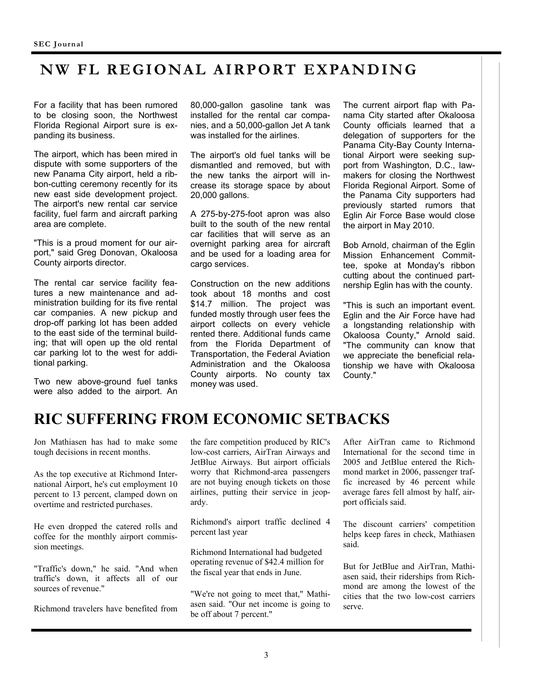## **N W FL R E GIO NAL AIRP O RT E X PAN D IN G**

For a facility that has been rumored to be closing soon, the Northwest Florida Regional Airport sure is expanding its business.

The airport, which has been mired in dispute with some supporters of the new Panama City airport, held a ribbon-cutting ceremony recently for its new east side development project. The airport's new rental car service facility, fuel farm and aircraft parking area are complete.

"This is a proud moment for our airport," said Greg Donovan, Okaloosa County airports director.

The rental car service facility features a new maintenance and administration building for its five rental car companies. A new pickup and drop-off parking lot has been added to the east side of the terminal building; that will open up the old rental car parking lot to the west for additional parking.

Two new above-ground fuel tanks were also added to the airport. An

80,000-gallon gasoline tank was installed for the rental car companies, and a 50,000-gallon Jet A tank was installed for the airlines.

The airport's old fuel tanks will be dismantled and removed, but with the new tanks the airport will increase its storage space by about 20,000 gallons.

A 275-by-275-foot apron was also built to the south of the new rental car facilities that will serve as an overnight parking area for aircraft and be used for a loading area for cargo services.

Construction on the new additions took about 18 months and cost \$14.7 million. The project was funded mostly through user fees the airport collects on every vehicle rented there. Additional funds came from the Florida Department of Transportation, the Federal Aviation Administration and the Okaloosa County airports. No county tax money was used.

The current airport flap with Panama City started after Okaloosa County officials learned that a delegation of supporters for the Panama City-Bay County International Airport were seeking support from Washington, D.C., lawmakers for closing the Northwest Florida Regional Airport. Some of the Panama City supporters had previously started rumors that Eglin Air Force Base would close the airport in May 2010.

Bob Arnold, chairman of the Eglin Mission Enhancement Committee, spoke at Monday's ribbon cutting about the continued partnership Eglin has with the county.

"This is such an important event. Eglin and the Air Force have had a longstanding relationship with Okaloosa County," Arnold said. "The community can know that we appreciate the beneficial relationship we have with Okaloosa County."

## **RIC SUFFERING FROM ECONOMIC SETBACKS**

Jon Mathiasen has had to make some tough decisions in recent months.

As the top executive at Richmond International Airport, he's cut employment 10 percent to 13 percent, clamped down on overtime and restricted purchases.

He even dropped the catered rolls and coffee for the monthly airport commission meetings.

"Traffic's down," he said. "And when traffic's down, it affects all of our sources of revenue."

Richmond travelers have benefited from

the fare competition produced by RIC's low-cost carriers, AirTran Airways and JetBlue Airways. But airport officials worry that Richmond-area passengers are not buying enough tickets on those airlines, putting their service in jeopardy.

Richmond's airport traffic declined 4 percent last year

Richmond International had budgeted operating revenue of \$42.4 million for the fiscal year that ends in June.

"We're not going to meet that," Mathiasen said. "Our net income is going to be off about 7 percent."

After AirTran came to Richmond International for the second time in 2005 and JetBlue entered the Richmond market in 2006, passenger traffic increased by 46 percent while average fares fell almost by half, airport officials said.

The discount carriers' competition helps keep fares in check, Mathiasen said.

But for JetBlue and AirTran, Mathiasen said, their riderships from Richmond are among the lowest of the cities that the two low-cost carriers serve.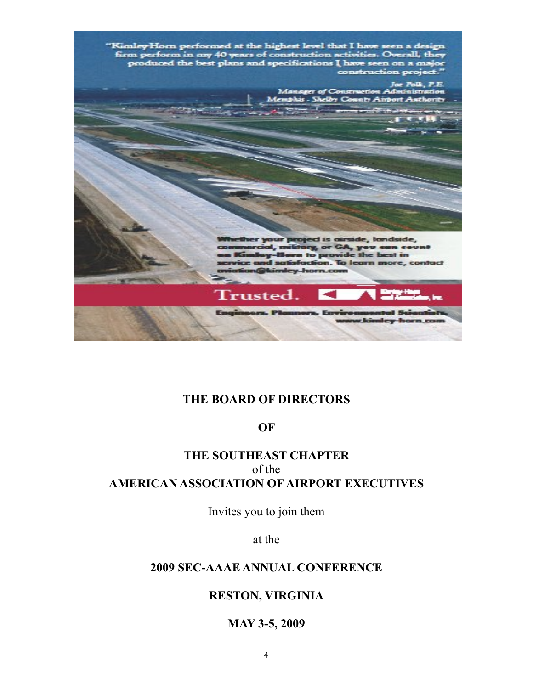

#### **THE BOARD OF DIRECTORS**

#### **OF**

#### **THE SOUTHEAST CHAPTER**  of the **AMERICAN ASSOCIATION OF AIRPORT EXECUTIVES**

Invites you to join them

at the

#### **2009 SEC-AAAE ANNUAL CONFERENCE**

#### **RESTON, VIRGINIA**

#### **MAY 3-5, 2009**